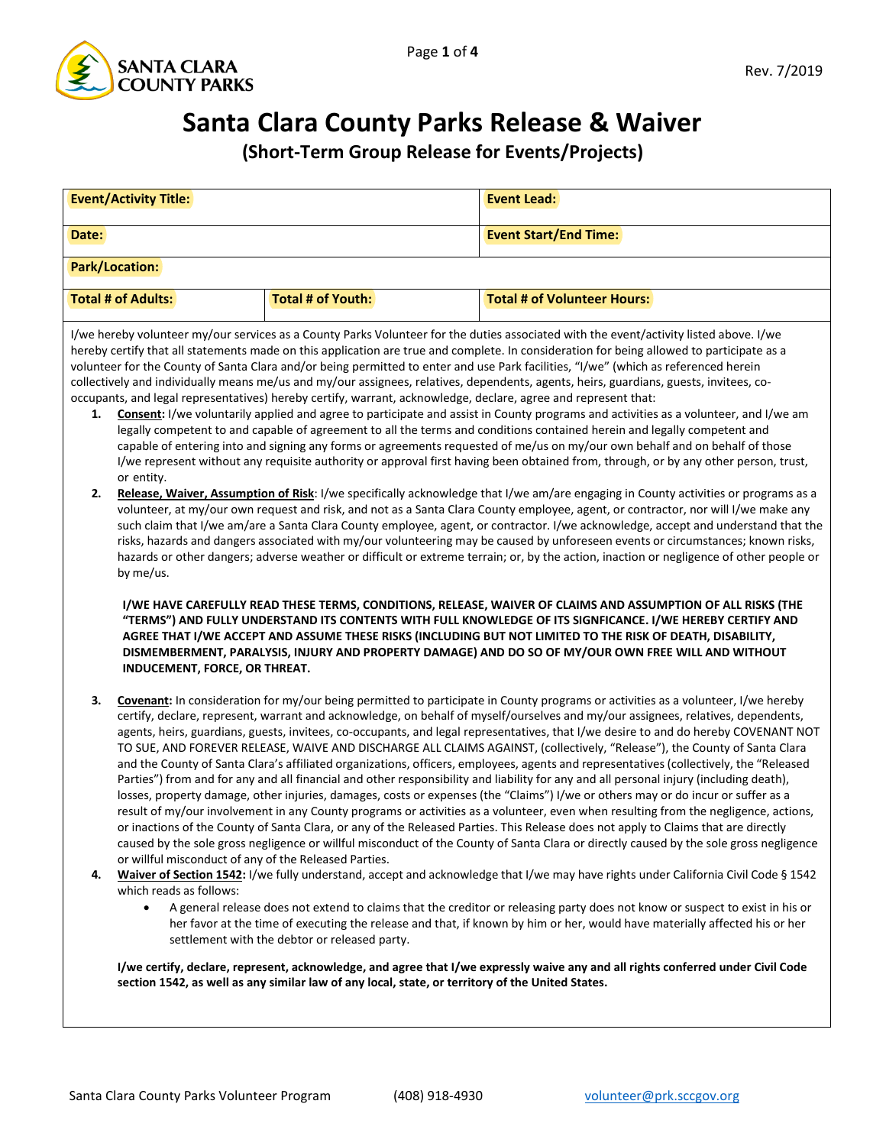

## **Santa Clara County Parks Release & Waiver**

**(Short-Term Group Release for Events/Projects)**

| <b>Event/Activity Title:</b>                                                                                                                                                                                                                                                                                                                                                                                                                                                                                                                                                                                                                                                                                                                                                                                                                                                                                                                                                                                                                                                                                                                                                                                                                                                                                                                                                                                                                                                                                                                                                                                                                                                                                                                                                                                                                                                                                                                                                                                                                                                                                                                                                                                                                                                                                                                                                                                             |                                                                                                                                                                                                                                                                                                                                                                                                                                                                                                                                                                                                                                                                                                                                                                                                                                                                                                                                                                                                                                                                                                                                                                                                                                                                                                                                                                                                                                                                                                                                                                                                                                                                                                                                                                                                                                                                                                        | <b>Event Lead:</b>                 |  |  |
|--------------------------------------------------------------------------------------------------------------------------------------------------------------------------------------------------------------------------------------------------------------------------------------------------------------------------------------------------------------------------------------------------------------------------------------------------------------------------------------------------------------------------------------------------------------------------------------------------------------------------------------------------------------------------------------------------------------------------------------------------------------------------------------------------------------------------------------------------------------------------------------------------------------------------------------------------------------------------------------------------------------------------------------------------------------------------------------------------------------------------------------------------------------------------------------------------------------------------------------------------------------------------------------------------------------------------------------------------------------------------------------------------------------------------------------------------------------------------------------------------------------------------------------------------------------------------------------------------------------------------------------------------------------------------------------------------------------------------------------------------------------------------------------------------------------------------------------------------------------------------------------------------------------------------------------------------------------------------------------------------------------------------------------------------------------------------------------------------------------------------------------------------------------------------------------------------------------------------------------------------------------------------------------------------------------------------------------------------------------------------------------------------------------------------|--------------------------------------------------------------------------------------------------------------------------------------------------------------------------------------------------------------------------------------------------------------------------------------------------------------------------------------------------------------------------------------------------------------------------------------------------------------------------------------------------------------------------------------------------------------------------------------------------------------------------------------------------------------------------------------------------------------------------------------------------------------------------------------------------------------------------------------------------------------------------------------------------------------------------------------------------------------------------------------------------------------------------------------------------------------------------------------------------------------------------------------------------------------------------------------------------------------------------------------------------------------------------------------------------------------------------------------------------------------------------------------------------------------------------------------------------------------------------------------------------------------------------------------------------------------------------------------------------------------------------------------------------------------------------------------------------------------------------------------------------------------------------------------------------------------------------------------------------------------------------------------------------------|------------------------------------|--|--|
| Date:                                                                                                                                                                                                                                                                                                                                                                                                                                                                                                                                                                                                                                                                                                                                                                                                                                                                                                                                                                                                                                                                                                                                                                                                                                                                                                                                                                                                                                                                                                                                                                                                                                                                                                                                                                                                                                                                                                                                                                                                                                                                                                                                                                                                                                                                                                                                                                                                                    |                                                                                                                                                                                                                                                                                                                                                                                                                                                                                                                                                                                                                                                                                                                                                                                                                                                                                                                                                                                                                                                                                                                                                                                                                                                                                                                                                                                                                                                                                                                                                                                                                                                                                                                                                                                                                                                                                                        | <b>Event Start/End Time:</b>       |  |  |
| <b>Park/Location:</b>                                                                                                                                                                                                                                                                                                                                                                                                                                                                                                                                                                                                                                                                                                                                                                                                                                                                                                                                                                                                                                                                                                                                                                                                                                                                                                                                                                                                                                                                                                                                                                                                                                                                                                                                                                                                                                                                                                                                                                                                                                                                                                                                                                                                                                                                                                                                                                                                    |                                                                                                                                                                                                                                                                                                                                                                                                                                                                                                                                                                                                                                                                                                                                                                                                                                                                                                                                                                                                                                                                                                                                                                                                                                                                                                                                                                                                                                                                                                                                                                                                                                                                                                                                                                                                                                                                                                        |                                    |  |  |
| <b>Total # of Adults:</b>                                                                                                                                                                                                                                                                                                                                                                                                                                                                                                                                                                                                                                                                                                                                                                                                                                                                                                                                                                                                                                                                                                                                                                                                                                                                                                                                                                                                                                                                                                                                                                                                                                                                                                                                                                                                                                                                                                                                                                                                                                                                                                                                                                                                                                                                                                                                                                                                | <b>Total # of Youth:</b>                                                                                                                                                                                                                                                                                                                                                                                                                                                                                                                                                                                                                                                                                                                                                                                                                                                                                                                                                                                                                                                                                                                                                                                                                                                                                                                                                                                                                                                                                                                                                                                                                                                                                                                                                                                                                                                                               | <b>Total # of Volunteer Hours:</b> |  |  |
| I/we hereby volunteer my/our services as a County Parks Volunteer for the duties associated with the event/activity listed above. I/we<br>hereby certify that all statements made on this application are true and complete. In consideration for being allowed to participate as a<br>volunteer for the County of Santa Clara and/or being permitted to enter and use Park facilities, "I/we" (which as referenced herein<br>collectively and individually means me/us and my/our assignees, relatives, dependents, agents, heirs, guardians, guests, invitees, co-<br>occupants, and legal representatives) hereby certify, warrant, acknowledge, declare, agree and represent that:<br>Consent: I/we voluntarily applied and agree to participate and assist in County programs and activities as a volunteer, and I/we am<br>1.<br>legally competent to and capable of agreement to all the terms and conditions contained herein and legally competent and<br>capable of entering into and signing any forms or agreements requested of me/us on my/our own behalf and on behalf of those<br>I/we represent without any requisite authority or approval first having been obtained from, through, or by any other person, trust,<br>or entity.<br>2.<br>Release, Waiver, Assumption of Risk: I/we specifically acknowledge that I/we am/are engaging in County activities or programs as a<br>volunteer, at my/our own request and risk, and not as a Santa Clara County employee, agent, or contractor, nor will I/we make any<br>such claim that I/we am/are a Santa Clara County employee, agent, or contractor. I/we acknowledge, accept and understand that the<br>risks, hazards and dangers associated with my/our volunteering may be caused by unforeseen events or circumstances; known risks,<br>hazards or other dangers; adverse weather or difficult or extreme terrain; or, by the action, inaction or negligence of other people or<br>by me/us.<br>I/WE HAVE CAREFULLY READ THESE TERMS, CONDITIONS, RELEASE, WAIVER OF CLAIMS AND ASSUMPTION OF ALL RISKS (THE<br>"TERMS") AND FULLY UNDERSTAND ITS CONTENTS WITH FULL KNOWLEDGE OF ITS SIGNFICANCE. I/WE HEREBY CERTIFY AND<br>AGREE THAT I/WE ACCEPT AND ASSUME THESE RISKS (INCLUDING BUT NOT LIMITED TO THE RISK OF DEATH, DISABILITY,<br>DISMEMBERMENT, PARALYSIS, INJURY AND PROPERTY DAMAGE) AND DO SO OF MY/OUR OWN FREE WILL AND WITHOUT |                                                                                                                                                                                                                                                                                                                                                                                                                                                                                                                                                                                                                                                                                                                                                                                                                                                                                                                                                                                                                                                                                                                                                                                                                                                                                                                                                                                                                                                                                                                                                                                                                                                                                                                                                                                                                                                                                                        |                                    |  |  |
| INDUCEMENT, FORCE, OR THREAT.<br>3.<br>4.<br>which reads as follows:<br>$\bullet$                                                                                                                                                                                                                                                                                                                                                                                                                                                                                                                                                                                                                                                                                                                                                                                                                                                                                                                                                                                                                                                                                                                                                                                                                                                                                                                                                                                                                                                                                                                                                                                                                                                                                                                                                                                                                                                                                                                                                                                                                                                                                                                                                                                                                                                                                                                                        | Covenant: In consideration for my/our being permitted to participate in County programs or activities as a volunteer, I/we hereby<br>certify, declare, represent, warrant and acknowledge, on behalf of myself/ourselves and my/our assignees, relatives, dependents,<br>agents, heirs, guardians, guests, invitees, co-occupants, and legal representatives, that I/we desire to and do hereby COVENANT NOT<br>TO SUE, AND FOREVER RELEASE, WAIVE AND DISCHARGE ALL CLAIMS AGAINST, (collectively, "Release"), the County of Santa Clara<br>and the County of Santa Clara's affiliated organizations, officers, employees, agents and representatives (collectively, the "Released<br>Parties") from and for any and all financial and other responsibility and liability for any and all personal injury (including death),<br>losses, property damage, other injuries, damages, costs or expenses (the "Claims") I/we or others may or do incur or suffer as a<br>result of my/our involvement in any County programs or activities as a volunteer, even when resulting from the negligence, actions,<br>or inactions of the County of Santa Clara, or any of the Released Parties. This Release does not apply to Claims that are directly<br>caused by the sole gross negligence or willful misconduct of the County of Santa Clara or directly caused by the sole gross negligence<br>or willful misconduct of any of the Released Parties.<br>Waiver of Section 1542: I/we fully understand, accept and acknowledge that I/we may have rights under California Civil Code § 1542<br>A general release does not extend to claims that the creditor or releasing party does not know or suspect to exist in his or<br>her favor at the time of executing the release and that, if known by him or her, would have materially affected his or her<br>settlement with the debtor or released party. |                                    |  |  |

**I/we certify, declare, represent, acknowledge, and agree that I/we expressly waive any and all rights conferred under Civil Code section 1542, as well as any similar law of any local, state, or territory of the United States.**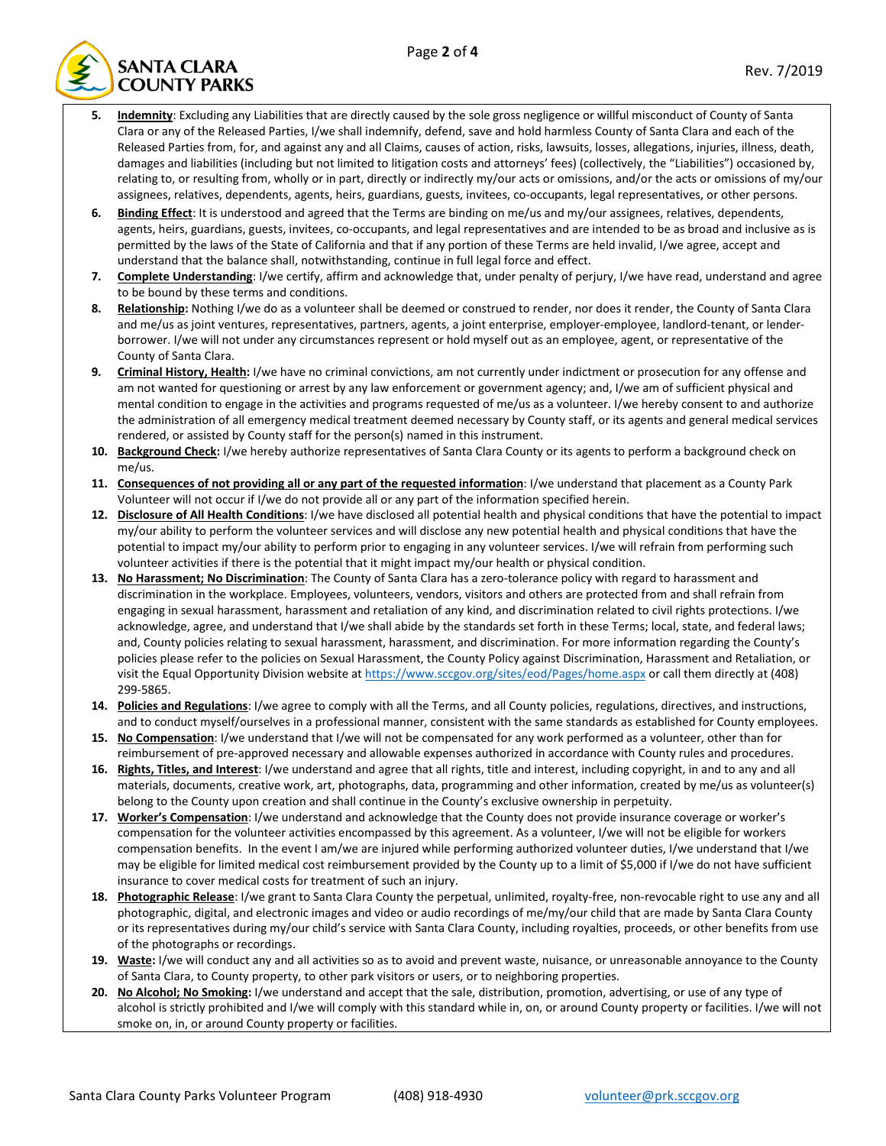

- **5. Indemnity**: Excluding any Liabilities that are directly caused by the sole gross negligence or willful misconduct of County of Santa Clara or any of the Released Parties, I/we shall indemnify, defend, save and hold harmless County of Santa Clara and each of the Released Parties from, for, and against any and all Claims, causes of action, risks, lawsuits, losses, allegations, injuries, illness, death, damages and liabilities (including but not limited to litigation costs and attorneys' fees) (collectively, the "Liabilities") occasioned by, relating to, or resulting from, wholly or in part, directly or indirectly my/our acts or omissions, and/or the acts or omissions of my/our assignees, relatives, dependents, agents, heirs, guardians, guests, invitees, co-occupants, legal representatives, or other persons.
- **6. Binding Effect**: It is understood and agreed that the Terms are binding on me/us and my/our assignees, relatives, dependents, agents, heirs, guardians, guests, invitees, co-occupants, and legal representatives and are intended to be as broad and inclusive as is permitted by the laws of the State of California and that if any portion of these Terms are held invalid, I/we agree, accept and understand that the balance shall, notwithstanding, continue in full legal force and effect.
- **7. Complete Understanding**: I/we certify, affirm and acknowledge that, under penalty of perjury, I/we have read, understand and agree to be bound by these terms and conditions.
- 8. Relationship: Nothing I/we do as a volunteer shall be deemed or construed to render, nor does it render, the County of Santa Clara and me/us as joint ventures, representatives, partners, agents, a joint enterprise, employer-employee, landlord-tenant, or lenderborrower. I/we will not under any circumstances represent or hold myself out as an employee, agent, or representative of the County of Santa Clara.
- **9. Criminal History, Health:** I/we have no criminal convictions, am not currently under indictment or prosecution for any offense and am not wanted for questioning or arrest by any law enforcement or government agency; and, I/we am of sufficient physical and mental condition to engage in the activities and programs requested of me/us as a volunteer. I/we hereby consent to and authorize the administration of all emergency medical treatment deemed necessary by County staff, or its agents and general medical services rendered, or assisted by County staff for the person(s) named in this instrument.
- **10. Background Check:** I/we hereby authorize representatives of Santa Clara County or its agents to perform a background check on me/us.
- **11. Consequences of not providing all or any part of the requested information**: I/we understand that placement as a County Park Volunteer will not occur if I/we do not provide all or any part of the information specified herein.
- **12. Disclosure of All Health Conditions**: I/we have disclosed all potential health and physical conditions that have the potential to impact my/our ability to perform the volunteer services and will disclose any new potential health and physical conditions that have the potential to impact my/our ability to perform prior to engaging in any volunteer services. I/we will refrain from performing such volunteer activities if there is the potential that it might impact my/our health or physical condition.
- **13. No Harassment; No Discrimination**: The County of Santa Clara has a zero-tolerance policy with regard to harassment and discrimination in the workplace. Employees, volunteers, vendors, visitors and others are protected from and shall refrain from engaging in sexual harassment, harassment and retaliation of any kind, and discrimination related to civil rights protections. I/we acknowledge, agree, and understand that I/we shall abide by the standards set forth in these Terms; local, state, and federal laws; and, County policies relating to sexual harassment, harassment, and discrimination. For more information regarding the County's policies please refer to the policies on Sexual Harassment, the County Policy against Discrimination, Harassment and Retaliation, or visit the Equal Opportunity Division website a[t https://www.sccgov.org/sites/eod/Pages/home.aspx](https://www.sccgov.org/sites/eod/Pages/home.aspx) or call them directly at (408) 299-5865.
- **14. Policies and Regulations**: I/we agree to comply with all the Terms, and all County policies, regulations, directives, and instructions, and to conduct myself/ourselves in a professional manner, consistent with the same standards as established for County employees.
- **15. No Compensation**: I/we understand that I/we will not be compensated for any work performed as a volunteer, other than for reimbursement of pre-approved necessary and allowable expenses authorized in accordance with County rules and procedures.
- **16. Rights, Titles, and Interest**: I/we understand and agree that all rights, title and interest, including copyright, in and to any and all materials, documents, creative work, art, photographs, data, programming and other information, created by me/us as volunteer(s) belong to the County upon creation and shall continue in the County's exclusive ownership in perpetuity.
- **17. Worker's Compensation**: I/we understand and acknowledge that the County does not provide insurance coverage or worker's compensation for the volunteer activities encompassed by this agreement. As a volunteer, I/we will not be eligible for workers compensation benefits. In the event I am/we are injured while performing authorized volunteer duties, I/we understand that I/we may be eligible for limited medical cost reimbursement provided by the County up to a limit of \$5,000 if I/we do not have sufficient insurance to cover medical costs for treatment of such an injury.
- **18. Photographic Release**: I/we grant to Santa Clara County the perpetual, unlimited, royalty-free, non-revocable right to use any and all photographic, digital, and electronic images and video or audio recordings of me/my/our child that are made by Santa Clara County or its representatives during my/our child's service with Santa Clara County, including royalties, proceeds, or other benefits from use of the photographs or recordings.
- **19. Waste:** I/we will conduct any and all activities so as to avoid and prevent waste, nuisance, or unreasonable annoyance to the County of Santa Clara, to County property, to other park visitors or users, or to neighboring properties.
- **20. No Alcohol; No Smoking:** I/we understand and accept that the sale, distribution, promotion, advertising, or use of any type of alcohol is strictly prohibited and I/we will comply with this standard while in, on, or around County property or facilities. I/we will not smoke on, in, or around County property or facilities.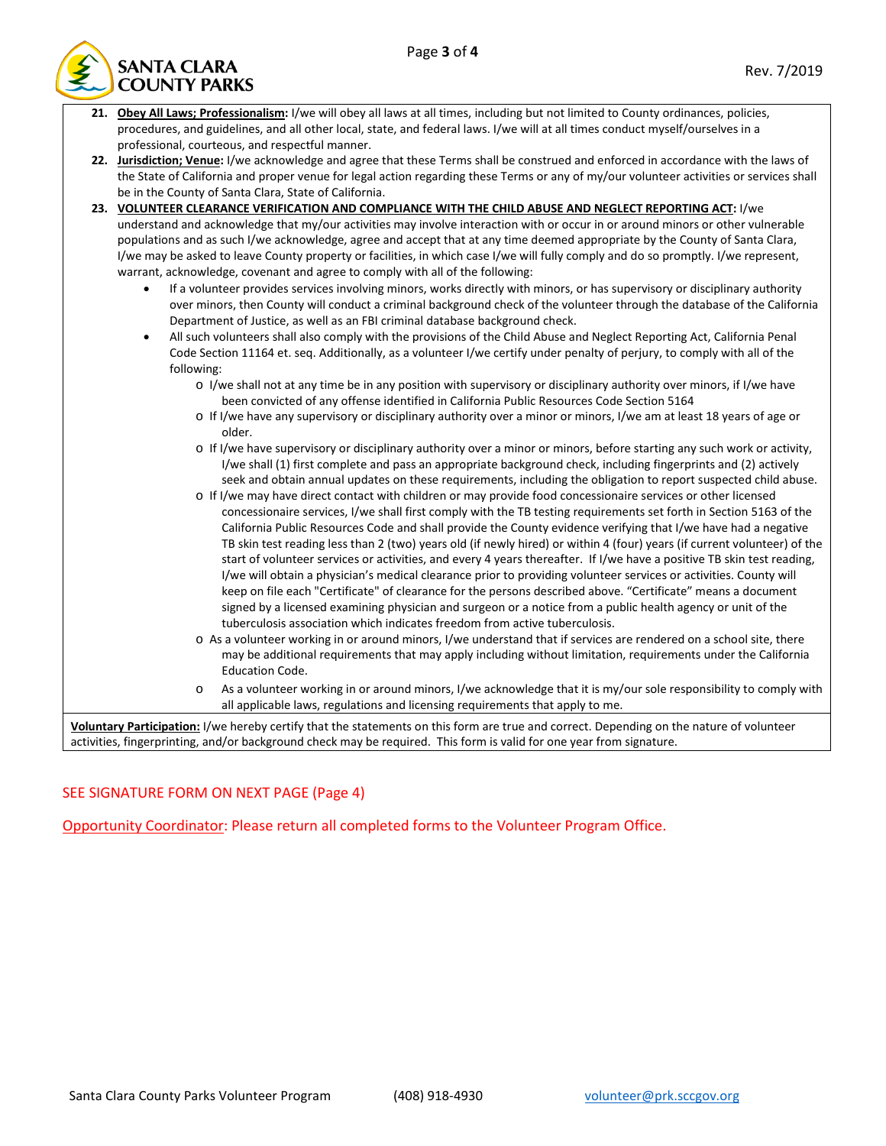

**21. Obey All Laws; Professionalism:** I/we will obey all laws at all times, including but not limited to County ordinances, policies, procedures, and guidelines, and all other local, state, and federal laws. I/we will at all times conduct myself/ourselves in a professional, courteous, and respectful manner. **22. Jurisdiction; Venue:** I/we acknowledge and agree that these Terms shall be construed and enforced in accordance with the laws of the State of California and proper venue for legal action regarding these Terms or any of my/our volunteer activities or services shall be in the County of Santa Clara, State of California. **23. VOLUNTEER CLEARANCE VERIFICATION AND COMPLIANCE WITH THE CHILD ABUSE AND NEGLECT REPORTING ACT:** I/we understand and acknowledge that my/our activities may involve interaction with or occur in or around minors or other vulnerable populations and as such I/we acknowledge, agree and accept that at any time deemed appropriate by the County of Santa Clara, I/we may be asked to leave County property or facilities, in which case I/we will fully comply and do so promptly. I/we represent, warrant, acknowledge, covenant and agree to comply with all of the following: • If a volunteer provides services involving minors, works directly with minors, or has supervisory or disciplinary authority over minors, then County will conduct a criminal background check of the volunteer through the database of the California Department of Justice, as well as an FBI criminal database background check. • All such volunteers shall also comply with the provisions of the Child Abuse and Neglect Reporting Act, California Penal Code Section 11164 et. seq. Additionally, as a volunteer I/we certify under penalty of perjury, to comply with all of the following: o I/we shall not at any time be in any position with supervisory or disciplinary authority over minors, if I/we have been convicted of any offense identified in California Public Resources Code Section 5164 o If I/we have any supervisory or disciplinary authority over a minor or minors, I/we am at least 18 years of age or older. o If I/we have supervisory or disciplinary authority over a minor or minors, before starting any such work or activity, I/we shall (1) first complete and pass an appropriate background check, including fingerprints and (2) actively seek and obtain annual updates on these requirements, including the obligation to report suspected child abuse. o If I/we may have direct contact with children or may provide food concessionaire services or other licensed concessionaire services, I/we shall first comply with the TB testing requirements set forth in Section 5163 of the California Public Resources Code and shall provide the County evidence verifying that I/we have had a negative TB skin test reading less than 2 (two) years old (if newly hired) or within 4 (four) years (if current volunteer) of the start of volunteer services or activities, and every 4 years thereafter. If I/we have a positive TB skin test reading, I/we will obtain a physician's medical clearance prior to providing volunteer services or activities. County will keep on file each "Certificate" of clearance for the persons described above. "Certificate" means a document signed by a licensed examining physician and surgeon or a notice from a public health agency or unit of the tuberculosis association which indicates freedom from active tuberculosis. o As a volunteer working in or around minors, I/we understand that if services are rendered on a school site, there may be additional requirements that may apply including without limitation, requirements under the California Education Code. o As a volunteer working in or around minors, I/we acknowledge that it is my/our sole responsibility to comply with all applicable laws, regulations and licensing requirements that apply to me. **Voluntary Participation:** I/we hereby certify that the statements on this form are true and correct. Depending on the nature of volunteer activities, fingerprinting, and/or background check may be required. This form is valid for one year from signature.

## SEE SIGNATURE FORM ON NEXT PAGE (Page 4)

Opportunity Coordinator: Please return all completed forms to the Volunteer Program Office.